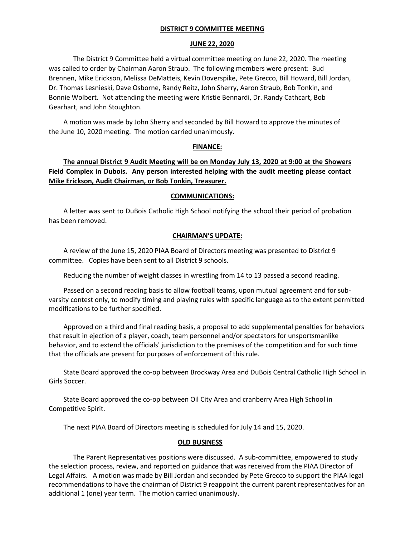## **DISTRICT 9 COMMITTEE MEETING**

## **JUNE 22, 2020**

The District 9 Committee held a virtual committee meeting on June 22, 2020. The meeting was called to order by Chairman Aaron Straub. The following members were present: Bud Brennen, Mike Erickson, Melissa DeMatteis, Kevin Doverspike, Pete Grecco, Bill Howard, Bill Jordan, Dr. Thomas Lesnieski, Dave Osborne, Randy Reitz, John Sherry, Aaron Straub, Bob Tonkin, and Bonnie Wolbert. Not attending the meeting were Kristie Bennardi, Dr. Randy Cathcart, Bob Gearhart, and John Stoughton.

A motion was made by John Sherry and seconded by Bill Howard to approve the minutes of the June 10, 2020 meeting. The motion carried unanimously.

#### **FINANCE:**

**The annual District 9 Audit Meeting will be on Monday July 13, 2020 at 9:00 at the Showers Field Complex in Dubois. Any person interested helping with the audit meeting please contact Mike Erickson, Audit Chairman, or Bob Tonkin, Treasurer.**

#### **COMMUNICATIONS:**

A letter was sent to DuBois Catholic High School notifying the school their period of probation has been removed.

#### **CHAIRMAN'S UPDATE:**

A review of the June 15, 2020 PIAA Board of Directors meeting was presented to District 9 committee. Copies have been sent to all District 9 schools.

Reducing the number of weight classes in wrestling from 14 to 13 passed a second reading.

Passed on a second reading basis to allow football teams, upon mutual agreement and for subvarsity contest only, to modify timing and playing rules with specific language as to the extent permitted modifications to be further specified.

Approved on a third and final reading basis, a proposal to add supplemental penalties for behaviors that result in ejection of a player, coach, team personnel and/or spectators for unsportsmanlike behavior, and to extend the officials' jurisdiction to the premises of the competition and for such time that the officials are present for purposes of enforcement of this rule.

State Board approved the co-op between Brockway Area and DuBois Central Catholic High School in Girls Soccer.

State Board approved the co-op between Oil City Area and cranberry Area High School in Competitive Spirit.

The next PIAA Board of Directors meeting is scheduled for July 14 and 15, 2020.

## **OLD BUSINESS**

The Parent Representatives positions were discussed. A sub-committee, empowered to study the selection process, review, and reported on guidance that was received from the PIAA Director of Legal Affairs. A motion was made by Bill Jordan and seconded by Pete Grecco to support the PIAA legal recommendations to have the chairman of District 9 reappoint the current parent representatives for an additional 1 (one) year term. The motion carried unanimously.